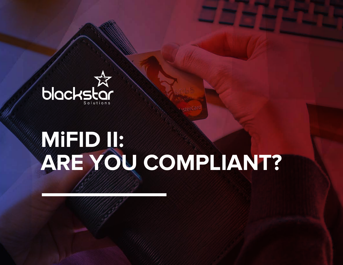

# **MiFID II: ARE YOU COMPLIANT?**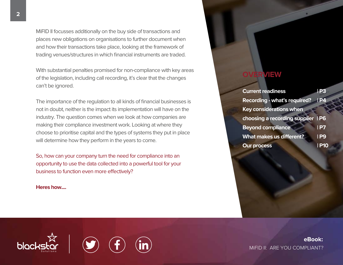MiFID II focusses additionally on the buy side of transactions and places new obligations on organisations to further document when and how their transactions take place, looking at the framework of trading venues/structures in which financial instruments are traded.

With substantial penalties promised for non-compliance with key areas of the legislation, including call recording, it's clear that the changes can't be ignored.

The importance of the regulation to all kinds of financial businesses is not in doubt, neither is the impact its implementation will have on the industry. The question comes when we look at how companies are making their compliance investment work. Looking at where they choose to prioritise capital and the types of systems they put in place will determine how they perform in the years to come.

So, how can your company turn the need for compliance into an opportunity to use the data collected into a powerful tool for your business to function even more effectively?

#### **Heres how....**

7

### **OVERVIEW**

| <b>Current readiness</b>            | Р3          |
|-------------------------------------|-------------|
| <b>Recording - what's required?</b> | <u>  P4</u> |
| <b>Key considerations when</b>      |             |
| choosing a recording supplier IP6   |             |
| <b>Beyond compliance</b>            | IP7         |
| What makes us different?            | <b>IP9</b>  |
| <b>Our process</b>                  | l P10       |

**eBook:** MiFID II: ARE YOU COMPLIANT?

blackstar i ly/ lt/ lin/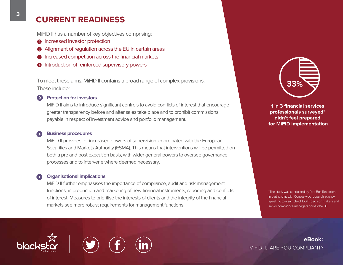### **CURRENT READINESS**

MiFID II has a number of key objectives comprising:

- **Increased investor protection**
- 2 Alignment of regulation across the EU in certain areas
- **3** Increased competition across the financial markets
- 4 Introduction of reinforced supervisory powers

To meet these aims, MiFID II contains a broad range of complex provisions. These include:

#### **Protection for investors**

MiFID II aims to introduce significant controls to avoid conflicts of interest that encourage greater transparency before and after sales take place and to prohibit commissions payable in respect of investment advice and portfolio management.

#### **Business procedures**

MiFID II provides for increased powers of supervision, coordinated with the European Securities and Markets Authority (ESMA). This means that interventions will be permitted on both a pre and post execution basis, with wider general powers to oversee governance processes and to intervene where deemed necessary.

#### **Organisational implications**

MiFID II further emphasises the importance of compliance, audit and risk management functions, in production and marketing of new financial instruments, reporting and conflicts of interest. Measures to prioritise the interests of clients and the integrity of the financial markets see more robust requirements for management functions.



**1 in 3 financial services professionals surveyed\* didn't feel prepared for MiFID implementation**

\*The study was conducted by Red Box Recorders in partnership with Censuswide research agency speaking to a sample of 100 IT decision makers and senior compliance managers across the UK







**eBook:** MiFID II: ARE YOU COMPLIANT?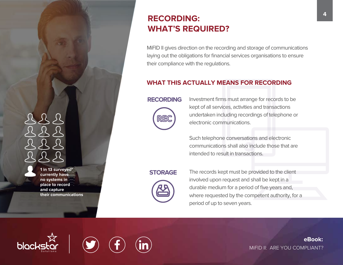**1 in 13 surveyed\* currently have no systems in place to record and capture their communications**

### **<sup>4</sup> RECORDING: WHAT'S REQUIRED?**

MiFID II gives direction on the recording and storage of communications laying out the obligations for financial services organisations to ensure their compliance with the regulations.

### **WHAT THIS ACTUALLY MEANS FOR RECORDING**

### **RECORDING**



Investment firms must arrange for records to be kept of all services, activities and transactions undertaken including recordings of telephone or electronic communications.

Such telephone conversations and electronic communications shall also include those that are intended to result in transactions.

### **STORAGE**



The records kept must be provided to the client involved upon request and shall be kept in a durable medium for a period of five years and, where requested by the competent authority, for a period of up to seven years.

**blac** 



**eBook:** MIFID II: ARE YOU COMPLIANT?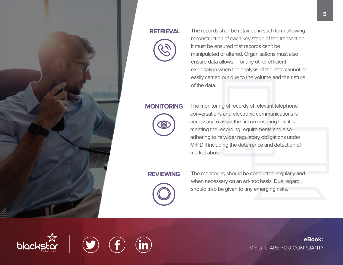

### **RETRIEVAL**



The records shall be retained in such form allowing reconstruction of each key stage of the transaction. It must be ensured that records can't be manipulated or altered. Organisations must also ensure data allows IT or any other efficient exploitation when the analysis of the data cannot be easily carried out due to the volume and the nature of the data.

### **MONITORING**



The monitoring of records of relevant telephone conversations and electronic communications is necessary to assist the firm in ensuring that it is meeting the recording requirements and also adhering to its wider regulatory obligations under MiFID II including the deterrence and detection of market abuse.

### **REVIEWING**



The monitoring should be conducted regularly and when necessary on an ad-hoc basis. Due regard should also be given to any emerging risks.

**5**

**eBook:** MIFID II: ARE YOU COMPLIANT?





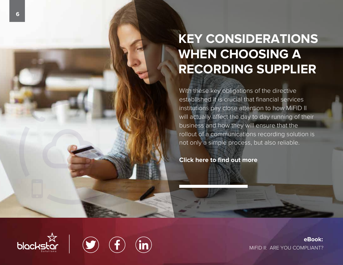# **KEY CONSIDERATIONS WHEN CHOOSING A RECORDING SUPPLIER**

With these key obligations of the directive established it is crucial that financial services institutions pay close attention to how MiFID II will actually affect the day to day running of their business and how they will ensure that the rollout of a communications recording solution is not only a simple process, but also reliable.

**Click here to find out more**

**eBook:** http://bit.ly/Blackstart.com/bit.ly/Blackstart.com/bit.ly/Blackstart/Blackstart/Blackstart/Blackstart/Blackstart/Blackstart/Blackstart/Blackstart/Blackstart/Blackstart/Blackstart/Blackstart/Blackstart/Blackstart/Blackstart





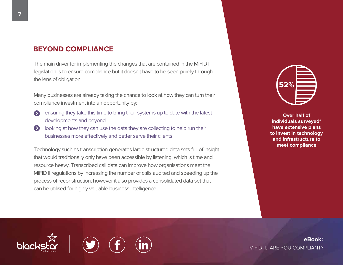### **BEYOND COMPLIANCE**

The main driver for implementing the changes that are contained in the MiFID II legislation is to ensure compliance but it doesn't have to be seen purely through the lens of obligation.

Many businesses are already taking the chance to look at how they can turn their compliance investment into an opportunity by:

- ensuring they take this time to bring their systems up to date with the latest  $\blacktriangleright$ developments and beyond
- **EX** looking at how they can use the data they are collecting to help run their businesses more effectively and better serve their clients

Technology such as transcription generates large structured data sets full of insight that would traditionally only have been accessible by listening, which is time and resource heavy. Transcribed call data can improve how organisations meet the MiFID II regulations by increasing the number of calls audited and speeding up the process of reconstruction, however it also provides a consolidated data set that can be utilised for highly valuable business intelligence.



**Over half of individuals surveyed\* have extensive plans to invest in technology and infrastructure to meet compliance**

8 **eBook:** MIFID II: ARE YOU COMPLIANT?



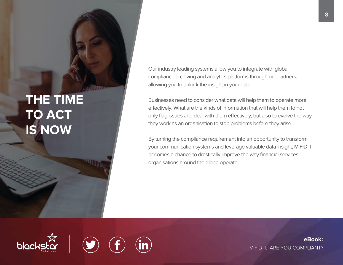# **THE TIME TO ACT IS NOW**

Our industry leading systems allow you to integrate with global compliance archiving and analytics platforms through our partners, allowing you to unlock the insight in your data.

Businesses need to consider what data will help them to operate more effectively. What are the kinds of information that will help them to not only flag issues and deal with them effectively, but also to evolve the way they work as an organisation to stop problems before they arise.

By turning the compliance requirement into an opportunity to transform your communication systems and leverage valuable data insight, MiFID II becomes a chance to drastically improve the way financial services organisations around the globe operate.

7 blackstar i (bit.ly/Blackstar



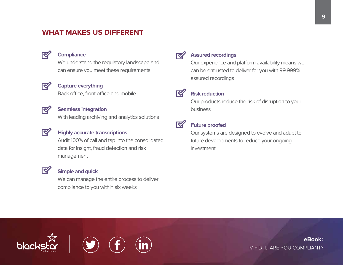### **WHAT MAKES US DIFFERENT**



### **Compliance**

We understand the regulatory landscape and can ensure you meet these requirements

### $\overline{\mathbf{N}}$

### **Capture everything**

Back office, front office and mobile

### **K**

### **Seamless integration**

With leading archiving and analytics solutions



 $\overline{\mathbf{N}}$ 

7

### **Highly accurate transcriptions**

Audit 100% of call and tap into the consolidated data for insight, fraud detection and risk management

### **Simple and quick**

We can manage the entire process to deliver compliance to you within six weeks

#### **Assured recordings K**

Our experience and platform availability means we

can be entrusted to deliver for you with 99.999% assured recordings



### **Risk reduction**

Our products reduce the risk of disruption to your business



### **Future proofed**

Our systems are designed to evolve and adapt to future developments to reduce your ongoing investment